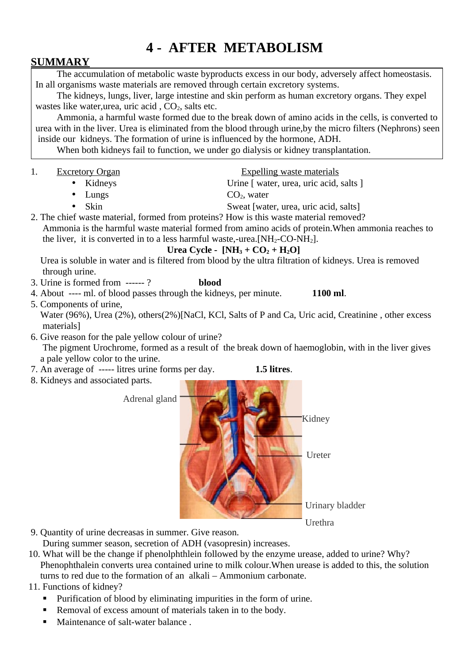## **4 - AFTER METABOLISM**

## **SUMMARY**

The accumulation of metabolic waste byproducts excess in our body, adversely affect homeostasis. In all organisms waste materials are removed through certain excretory systems.

The kidneys, lungs, liver, large intestine and skin perform as human excretory organs. They expel wastes like water, urea, uric acid,  $CO<sub>2</sub>$ , salts etc.

 Ammonia, a harmful waste formed due to the break down of amino acids in the cells, is converted to urea with in the liver. Urea is eliminated from the blood through urine,by the micro filters (Nephrons) seen inside our kidneys. The formation of urine is influenced by the hormone, ADH.

When both kidneys fail to function, we under go dialysis or kidney transplantation.

- -

1. Excretory Organ Expelling waste materials

• Kidneys Urine [ water, urea, uric acid, salts ]

- Lungs  $CO<sub>2</sub>$ , water
- Skin Sweat [water, urea, uric acid, salts]
- 2. The chief waste material, formed from proteins? How is this waste material removed? Ammonia is the harmful waste material formed from amino acids of protein.When ammonia reaches to the liver, it is converted in to a less harmful waste,-urea.[ $NH<sub>2</sub>-CO-NH<sub>2</sub>$ ].

## Urea Cycle -  $[NH_3 + CO_2 + H_2O]$

 Urea is soluble in water and is filtered from blood by the ultra filtration of kidneys. Urea is removed through urine.

- 3. Urine is formed from ------ ? **blood**
- 4. About ---- ml. of blood passes through the kidneys, per minute. **1100 ml**.
- 5. Components of urine,

 Water (96%), Urea (2%), others(2%)[NaCl, KCl, Salts of P and Ca, Uric acid, Creatinine , other excess materials]

- 6. Give reason for the pale yellow colour of urine? The pigment Urochrome, formed as a result of the break down of haemoglobin, with in the liver gives a pale yellow color to the urine.
- 7. An average of ----- litres urine forms per day. **1.5 litres**.
- 8. Kidneys and associated parts.



9. Quantity of urine decreasas in summer. Give reason.

During summer season, secretion of ADH (vasopresin) increases.

10. What will be the change if phenolphthlein followed by the enzyme urease, added to urine? Why? Phenophthalein converts urea contained urine to milk colour.When urease is added to this, the solution turns to red due to the formation of an alkali – Ammonium carbonate.

## 11. Functions of kidney?

- **Purification of blood by eliminating impurities in the form of urine.**
- Removal of excess amount of materials taken in to the body.
- Maintenance of salt-water balance .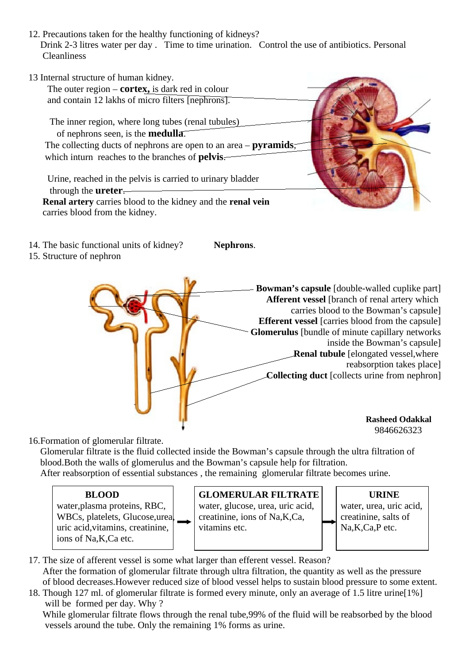- 12. Precautions taken for the healthy functioning of kidneys? Drink 2-3 litres water per day . Time to time urination. Control the use of antibiotics. Personal Cleanliness
- 13 Internal structure of human kidney.

 The outer region – **cortex,** is dark red in colour and contain 12 lakhs of micro filters [nephrons].

 The inner region, where long tubes (renal tubules) of nephrons seen, is the **medulla**. The collecting ducts of nephrons are open to an area – **pyramids**, which inturn reaches to the branches of **pelvis**.

 Urine, reached in the pelvis is carried to urinary bladder through the **ureter**. **Renal artery** carries blood to the kidney and the **renal vein** carries blood from the kidney.



14. The basic functional units of kidney? **Nephrons**.

15. Structure of nephron



9846626323

16.Formation of glomerular filtrate.

 Glomerular filtrate is the fluid collected inside the Bowman's capsule through the ultra filtration of blood.Both the walls of glomerulus and the Bowman's capsule help for filtration. After reabsorption of essential substances , the remaining glomerular filtrate becomes urine.



**BLOOD GLOMERULAR FILTRATE URINE** 

- 17. The size of afferent vessel is some what larger than efferent vessel. Reason? After the formation of glomerular filtrate through ultra filtration, the quantity as well as the pressure of blood decreases.However reduced size of blood vessel helps to sustain blood pressure to some extent.
- 18. Though 127 ml. of glomerular filtrate is formed every minute, only an average of 1.5 litre urine[1%] will be formed per day. Why ?

 While glomerular filtrate flows through the renal tube,99% of the fluid will be reabsorbed by the blood vessels around the tube. Only the remaining 1% forms as urine.